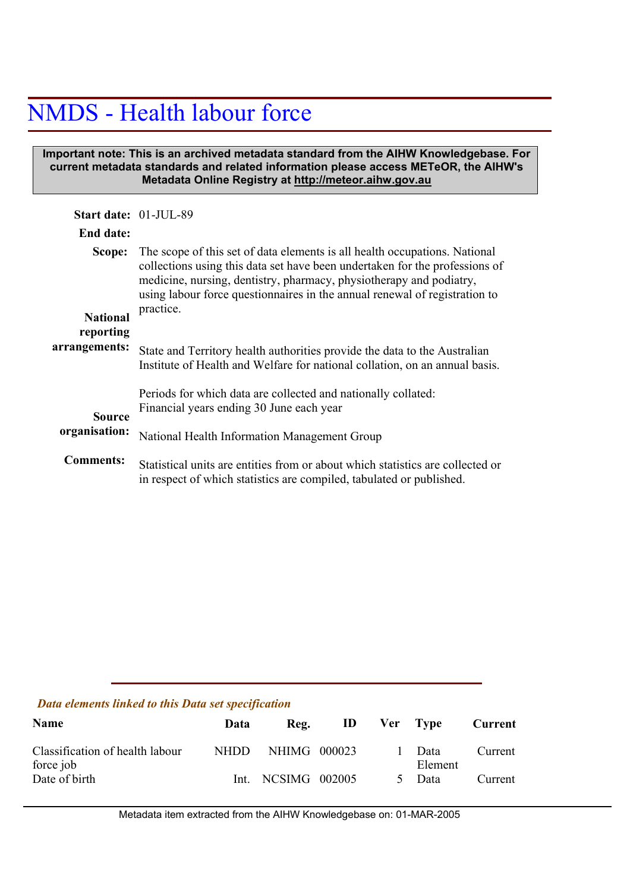## NMDS - Health labour force

## **Important note: This is an archived metadata standard from the AIHW Knowledgebase. For current metadata standards and related information please access METeOR, the AIHW's Metadata Online Registry at http://meteor.aihw.gov.au**

| Start date: 01-JUL-89                  |                                                                                                                                                                                                                                                                                                                             |
|----------------------------------------|-----------------------------------------------------------------------------------------------------------------------------------------------------------------------------------------------------------------------------------------------------------------------------------------------------------------------------|
| End date:                              |                                                                                                                                                                                                                                                                                                                             |
| Scope:<br><b>National</b><br>reporting | The scope of this set of data elements is all health occupations. National<br>collections using this data set have been undertaken for the professions of<br>medicine, nursing, dentistry, pharmacy, physiotherapy and podiatry,<br>using labour force questionnaires in the annual renewal of registration to<br>practice. |
| arrangements:                          | State and Territory health authorities provide the data to the Australian<br>Institute of Health and Welfare for national collation, on an annual basis.                                                                                                                                                                    |
| <b>Source</b>                          | Periods for which data are collected and nationally collated:<br>Financial years ending 30 June each year                                                                                                                                                                                                                   |
| organisation:                          | National Health Information Management Group                                                                                                                                                                                                                                                                                |
| <b>Comments:</b>                       | Statistical units are entities from or about which statistics are collected or<br>in respect of which statistics are compiled, tabulated or published.                                                                                                                                                                      |

## *Data elements linked to this Data set specification*

| <b>Name</b>                                  | Data  | Reg.               | ID | Ver Type        | Current |
|----------------------------------------------|-------|--------------------|----|-----------------|---------|
| Classification of health labour<br>force job | NHDD. | NHIMG 000023       |    | Data<br>Element | Current |
| Date of birth                                |       | Int. NCSIMG 002005 |    | Data            | Current |